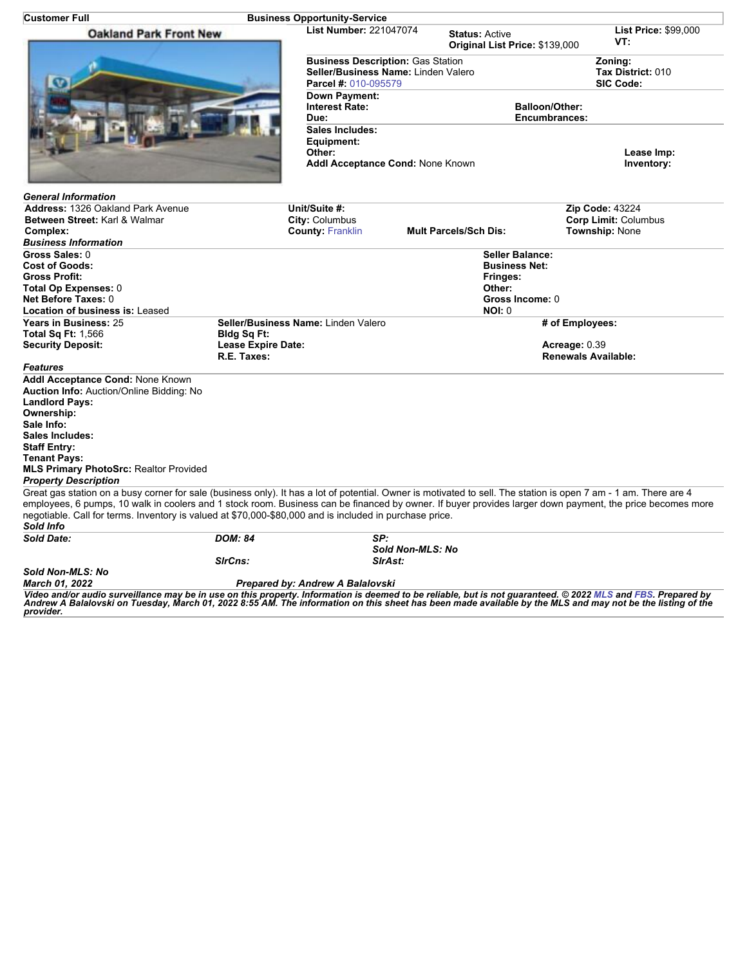| Customer Full                                                                                                                                                                                                                                                                                                                                                                                                                                         |                                  | <b>Business Opportunity-Service</b>                                                                                                                                                                                                      |                  |                                    |                                                  |  |
|-------------------------------------------------------------------------------------------------------------------------------------------------------------------------------------------------------------------------------------------------------------------------------------------------------------------------------------------------------------------------------------------------------------------------------------------------------|----------------------------------|------------------------------------------------------------------------------------------------------------------------------------------------------------------------------------------------------------------------------------------|------------------|------------------------------------|--------------------------------------------------|--|
| <b>Oakland Park Front New</b>                                                                                                                                                                                                                                                                                                                                                                                                                         |                                  | <b>List Number: 221047074</b><br><b>Status: Active</b><br>Original List Price: \$139,000                                                                                                                                                 |                  | <b>List Price: \$99,000</b><br>VT: |                                                  |  |
|                                                                                                                                                                                                                                                                                                                                                                                                                                                       |                                  | <b>Business Description: Gas Station</b><br>Seller/Business Name: Linden Valero<br>Parcel #: 010-095579<br>Down Payment:<br><b>Interest Rate:</b><br>Due:<br>Sales Includes:<br>Equipment:<br>Other:<br>Addl Acceptance Cond: None Known |                  |                                    | Zoning:<br>Tax District: 010<br><b>SIC Code:</b> |  |
|                                                                                                                                                                                                                                                                                                                                                                                                                                                       |                                  |                                                                                                                                                                                                                                          |                  |                                    | <b>Balloon/Other:</b><br>Encumbrances:           |  |
|                                                                                                                                                                                                                                                                                                                                                                                                                                                       |                                  |                                                                                                                                                                                                                                          |                  |                                    | Lease Imp:<br>Inventory:                         |  |
| <b>General Information</b>                                                                                                                                                                                                                                                                                                                                                                                                                            |                                  |                                                                                                                                                                                                                                          |                  |                                    |                                                  |  |
| Address: 1326 Oakland Park Avenue                                                                                                                                                                                                                                                                                                                                                                                                                     |                                  | Unit/Suite #:                                                                                                                                                                                                                            |                  |                                    | Zip Code: 43224                                  |  |
| Between Street: Karl & Walmar                                                                                                                                                                                                                                                                                                                                                                                                                         |                                  | City: Columbus                                                                                                                                                                                                                           |                  |                                    | <b>Corp Limit: Columbus</b>                      |  |
| Complex:                                                                                                                                                                                                                                                                                                                                                                                                                                              |                                  | <b>County: Franklin</b>                                                                                                                                                                                                                  |                  | <b>Mult Parcels/Sch Dis:</b>       | <b>Township: None</b>                            |  |
| <b>Business Information</b>                                                                                                                                                                                                                                                                                                                                                                                                                           |                                  |                                                                                                                                                                                                                                          |                  |                                    |                                                  |  |
| Gross Sales: 0                                                                                                                                                                                                                                                                                                                                                                                                                                        |                                  |                                                                                                                                                                                                                                          |                  | <b>Seller Balance:</b>             |                                                  |  |
| <b>Cost of Goods:</b>                                                                                                                                                                                                                                                                                                                                                                                                                                 |                                  |                                                                                                                                                                                                                                          |                  | <b>Business Net:</b>               |                                                  |  |
| <b>Gross Profit:</b>                                                                                                                                                                                                                                                                                                                                                                                                                                  |                                  |                                                                                                                                                                                                                                          |                  | Fringes:                           |                                                  |  |
| Total Op Expenses: 0                                                                                                                                                                                                                                                                                                                                                                                                                                  |                                  |                                                                                                                                                                                                                                          |                  | Other:                             |                                                  |  |
| Net Before Taxes: 0                                                                                                                                                                                                                                                                                                                                                                                                                                   |                                  |                                                                                                                                                                                                                                          |                  | Gross Income: 0                    |                                                  |  |
| <b>Location of business is: Leased</b>                                                                                                                                                                                                                                                                                                                                                                                                                |                                  |                                                                                                                                                                                                                                          |                  | <b>NOI: 0</b>                      |                                                  |  |
| Years in Business: 25                                                                                                                                                                                                                                                                                                                                                                                                                                 |                                  | Seller/Business Name: Linden Valero                                                                                                                                                                                                      |                  |                                    | # of Employees:                                  |  |
| <b>Total Sq Ft: 1,566</b>                                                                                                                                                                                                                                                                                                                                                                                                                             | Bldg Sq Ft:                      |                                                                                                                                                                                                                                          |                  |                                    |                                                  |  |
| <b>Security Deposit:</b>                                                                                                                                                                                                                                                                                                                                                                                                                              |                                  | <b>Lease Expire Date:</b>                                                                                                                                                                                                                |                  |                                    | Acreage: 0.39                                    |  |
|                                                                                                                                                                                                                                                                                                                                                                                                                                                       | R.E. Taxes:                      |                                                                                                                                                                                                                                          |                  | <b>Renewals Available:</b>         |                                                  |  |
| <b>Features</b>                                                                                                                                                                                                                                                                                                                                                                                                                                       |                                  |                                                                                                                                                                                                                                          |                  |                                    |                                                  |  |
| Addl Acceptance Cond: None Known                                                                                                                                                                                                                                                                                                                                                                                                                      |                                  |                                                                                                                                                                                                                                          |                  |                                    |                                                  |  |
| Auction Info: Auction/Online Bidding: No                                                                                                                                                                                                                                                                                                                                                                                                              |                                  |                                                                                                                                                                                                                                          |                  |                                    |                                                  |  |
| <b>Landlord Pays:</b>                                                                                                                                                                                                                                                                                                                                                                                                                                 |                                  |                                                                                                                                                                                                                                          |                  |                                    |                                                  |  |
| Ownership:                                                                                                                                                                                                                                                                                                                                                                                                                                            |                                  |                                                                                                                                                                                                                                          |                  |                                    |                                                  |  |
| Sale Info:                                                                                                                                                                                                                                                                                                                                                                                                                                            |                                  |                                                                                                                                                                                                                                          |                  |                                    |                                                  |  |
| Sales Includes:                                                                                                                                                                                                                                                                                                                                                                                                                                       |                                  |                                                                                                                                                                                                                                          |                  |                                    |                                                  |  |
| <b>Staff Entry:</b>                                                                                                                                                                                                                                                                                                                                                                                                                                   |                                  |                                                                                                                                                                                                                                          |                  |                                    |                                                  |  |
| <b>Tenant Pays:</b>                                                                                                                                                                                                                                                                                                                                                                                                                                   |                                  |                                                                                                                                                                                                                                          |                  |                                    |                                                  |  |
| <b>MLS Primary PhotoSrc: Realtor Provided</b><br><b>Property Description</b>                                                                                                                                                                                                                                                                                                                                                                          |                                  |                                                                                                                                                                                                                                          |                  |                                    |                                                  |  |
| Great gas station on a busy corner for sale (business only). It has a lot of potential. Owner is motivated to sell. The station is open 7 am - 1 am. There are 4<br>employees, 6 pumps, 10 walk in coolers and 1 stock room. Business can be financed by owner. If buyer provides larger down payment, the price becomes more<br>negotiable. Call for terms. Inventory is valued at \$70,000-\$80,000 and is included in purchase price.<br>Sold Info |                                  |                                                                                                                                                                                                                                          |                  |                                    |                                                  |  |
| <b>Sold Date:</b>                                                                                                                                                                                                                                                                                                                                                                                                                                     | <b>DOM: 84</b>                   | SP:                                                                                                                                                                                                                                      |                  |                                    |                                                  |  |
|                                                                                                                                                                                                                                                                                                                                                                                                                                                       |                                  |                                                                                                                                                                                                                                          | Sold Non-MLS: No |                                    |                                                  |  |
|                                                                                                                                                                                                                                                                                                                                                                                                                                                       | SirCns:                          |                                                                                                                                                                                                                                          | SIrAst:          |                                    |                                                  |  |
| Sold Non-MLS: No                                                                                                                                                                                                                                                                                                                                                                                                                                      |                                  |                                                                                                                                                                                                                                          |                  |                                    |                                                  |  |
| <b>March 01. 2022</b>                                                                                                                                                                                                                                                                                                                                                                                                                                 | Prepared by: Andrew A Balalovski |                                                                                                                                                                                                                                          |                  |                                    |                                                  |  |
| Video and/or audio surveillance may be in use on this property. Information is deemed to be reliable, but is not guaranteed. © 2022 MLS and FBS. Prepared by<br>Andrew A Balalovski on Tuesday, March 01, 2022 8:55 AM. The infor<br>provider.                                                                                                                                                                                                        |                                  |                                                                                                                                                                                                                                          |                  |                                    |                                                  |  |